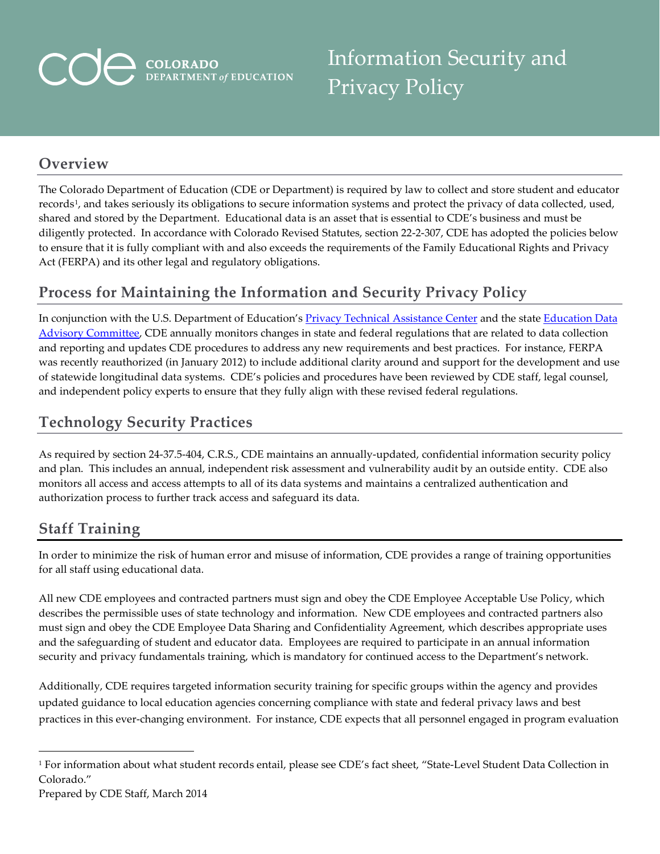# **COLORADO**<br>DEPARTMENT of EDUCATION

Information Security and Privacy Policy

#### **Overview**

The Colorado Department of Education (CDE or Department) is required by law to collect and store student and educator records<sup>1</sup>, and takes seriously its obligations to secure information systems and protect the privacy of data collected, used, shared and stored by the Department. Educational data is an asset that is essential to CDE's business and must be diligently protected. In accordance with Colorado Revised Statutes, section 22-2-307, CDE has adopted the policies below to ensure that it is fully compliant with and also exceeds the requirements of the Family Educational Rights and Privacy Act (FERPA) and its other legal and regulatory obligations.

## **Process for Maintaining the Information and Security Privacy Policy**

In conjunction with the U.S. Department of Education's [Privacy Technical Assistance Center](http://ptac.ed.gov/) and the state Education Data [Advisory Committee,](http://www.cde.state.co.us/cdereval/edacinfo.htm) CDE annually monitors changes in state and federal regulations that are related to data collection and reporting and updates CDE procedures to address any new requirements and best practices. For instance, FERPA was recently reauthorized (in January 2012) to include additional clarity around and support for the development and use of statewide longitudinal data systems. CDE's policies and procedures have been reviewed by CDE staff, legal counsel, and independent policy experts to ensure that they fully align with these revised federal regulations.

#### **Technology Security Practices**

As required by section 24-37.5-404, C.R.S., CDE maintains an annually-updated, confidential information security policy and plan. This includes an annual, independent risk assessment and vulnerability audit by an outside entity. CDE also monitors all access and access attempts to all of its data systems and maintains a centralized authentication and authorization process to further track access and safeguard its data.

#### **Staff Training**

In order to minimize the risk of human error and misuse of information, CDE provides a range of training opportunities for all staff using educational data.

All new CDE employees and contracted partners must sign and obey the CDE Employee Acceptable Use Policy, which describes the permissible uses of state technology and information. New CDE employees and contracted partners also must sign and obey the CDE Employee Data Sharing and Confidentiality Agreement, which describes appropriate uses and the safeguarding of student and educator data. Employees are required to participate in an annual information security and privacy fundamentals training, which is mandatory for continued access to the Department's network.

Additionally, CDE requires targeted information security training for specific groups within the agency and provides updated guidance to local education agencies concerning compliance with state and federal privacy laws and best practices in this ever-changing environment. For instance, CDE expects that all personnel engaged in program evaluation

 $\overline{a}$ 

<span id="page-0-0"></span><sup>1</sup> For information about what student records entail, please see CDE's fact sheet, "State-Level Student Data Collection in Colorado."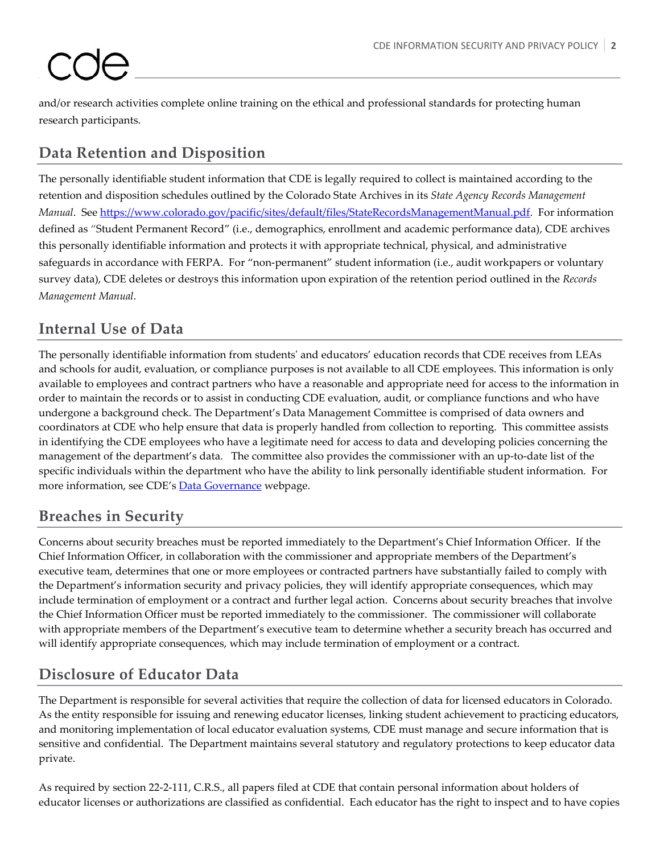and/or research activities complete online training on the ethical and professional standards for protecting human research participants.

### **Data Retention and Disposition**

The personally identifiable student information that CDE is legally required to collect is maintained according to the retention and disposition schedules outlined by the Colorado State Archives in its *State Agency Records Management Manual*. See [https://www.colorado.gov/pacific/sites/default/files/StateRecordsManagementManual.pdf.](https://www.colorado.gov/pacific/sites/default/files/StateRecordsManagementManual.pdf) For information defined as "Student Permanent Record" (i.e., demographics, enrollment and academic performance data), CDE archives this personally identifiable information and protects it with appropriate technical, physical, and administrative safeguards in accordance with FERPA. For "non-permanent" student information (i.e., audit workpapers or voluntary survey data), CDE deletes or destroys this information upon expiration of the retention period outlined in the *Records Management Manual*.

#### **Internal Use of Data**

The personally identifiable information from students' and educators' education records that CDE receives from LEAs and schools for audit, evaluation, or compliance purposes is not available to all CDE employees. This information is only available to employees and contract partners who have a reasonable and appropriate need for access to the information in order to maintain the records or to assist in conducting CDE evaluation, audit, or compliance functions and who have undergone a background check. The Department's Data Management Committee is comprised of data owners and coordinators at CDE who help ensure that data is properly handled from collection to reporting. This committee assists in identifying the CDE employees who have a legitimate need for access to data and developing policies concerning the management of the department's data. The committee also provides the commissioner with an up-to-date list of the specific individuals within the department who have the ability to link personally identifiable student information. For more information, see CDE's [Data Governance](http://www.cde.state.co.us/cdereval/datagovernance.htm) webpage.

#### **Breaches in Security**

Concerns about security breaches must be reported immediately to the Department's Chief Information Officer. If the Chief Information Officer, in collaboration with the commissioner and appropriate members of the Department's executive team, determines that one or more employees or contracted partners have substantially failed to comply with the Department's information security and privacy policies, they will identify appropriate consequences, which may include termination of employment or a contract and further legal action. Concerns about security breaches that involve the Chief Information Officer must be reported immediately to the commissioner. The commissioner will collaborate with appropriate members of the Department's executive team to determine whether a security breach has occurred and will identify appropriate consequences, which may include termination of employment or a contract.

#### **Disclosure of Educator Data**

The Department is responsible for several activities that require the collection of data for licensed educators in Colorado. As the entity responsible for issuing and renewing educator licenses, linking student achievement to practicing educators, and monitoring implementation of local educator evaluation systems, CDE must manage and secure information that is sensitive and confidential. The Department maintains several statutory and regulatory protections to keep educator data private.

As required by section 22-2-111, C.R.S., all papers filed at CDE that contain personal information about holders of educator licenses or authorizations are classified as confidential. Each educator has the right to inspect and to have copies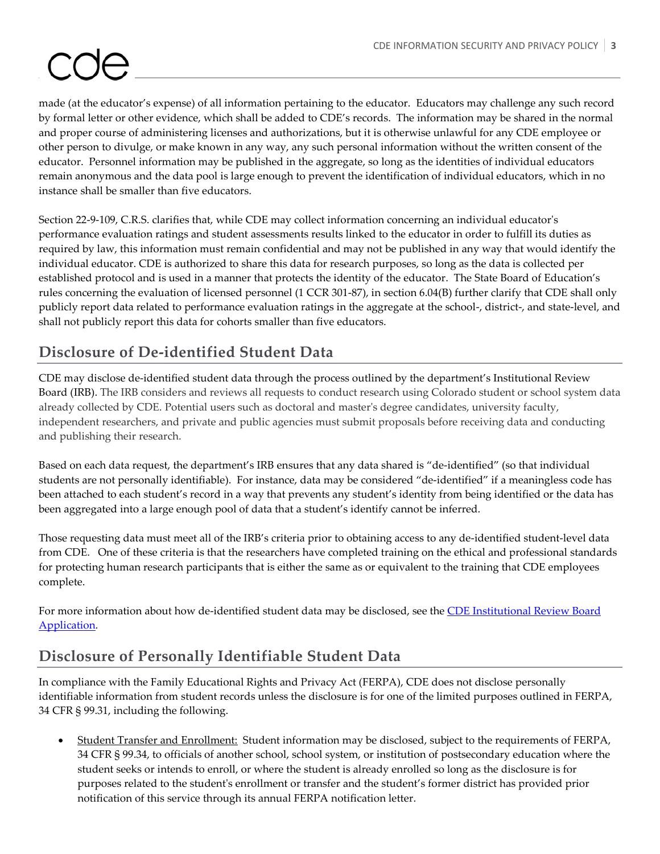made (at the educator's expense) of all information pertaining to the educator. Educators may challenge any such record by formal letter or other evidence, which shall be added to CDE's records. The information may be shared in the normal and proper course of administering licenses and authorizations, but it is otherwise unlawful for any CDE employee or other person to divulge, or make known in any way, any such personal information without the written consent of the educator. Personnel information may be published in the aggregate, so long as the identities of individual educators remain anonymous and the data pool is large enough to prevent the identification of individual educators, which in no instance shall be smaller than five educators.

Section 22-9-109, C.R.S. clarifies that, while CDE may collect information concerning an individual educator's performance evaluation ratings and student assessments results linked to the educator in order to fulfill its duties as required by law, this information must remain confidential and may not be published in any way that would identify the individual educator. CDE is authorized to share this data for research purposes, so long as the data is collected per established protocol and is used in a manner that protects the identity of the educator. The State Board of Education's rules concerning the evaluation of licensed personnel (1 CCR 301-87), in section 6.04(B) further clarify that CDE shall only publicly report data related to performance evaluation ratings in the aggregate at the school-, district-, and state-level, and shall not publicly report this data for cohorts smaller than five educators.

#### **Disclosure of De-identified Student Data**

CDE may disclose de-identified student data through the process outlined by the department's Institutional Review Board (IRB). The IRB considers and reviews all requests to conduct research using Colorado student or school system data already collected by CDE. Potential users such as doctoral and master's degree candidates, university faculty, independent researchers, and private and public agencies must submit proposals before receiving data and conducting and publishing their research.

Based on each data request, the department's IRB ensures that any data shared is "de-identified" (so that individual students are not personally identifiable). For instance, data may be considered "de-identified" if a meaningless code has been attached to each student's record in a way that prevents any student's identity from being identified or the data has been aggregated into a large enough pool of data that a student's identify cannot be inferred.

Those requesting data must meet all of the IRB's criteria prior to obtaining access to any de-identified student-level data from CDE. One of these criteria is that the researchers have completed training on the ethical and professional standards for protecting human research participants that is either the same as or equivalent to the training that CDE employees complete.

For more information about how de-identified student data may be disclosed, see the CDE Institutional Review Board [Application.](http://www.cde.state.co.us/research/IRB.asp)

#### **Disclosure of Personally Identifiable Student Data**

In compliance with the Family Educational Rights and Privacy Act (FERPA), CDE does not disclose personally identifiable information from student records unless the disclosure is for one of the limited purposes outlined in FERPA, 34 CFR § 99.31, including the following.

• Student Transfer and Enrollment: Student information may be disclosed, subject to the requirements of FERPA, 34 CFR § 99.34, to officials of another school, school system, or institution of postsecondary education where the student seeks or intends to enroll, or where the student is already enrolled so long as the disclosure is for purposes related to the student's enrollment or transfer and the student's former district has provided prior notification of this service through its annual FERPA notification letter.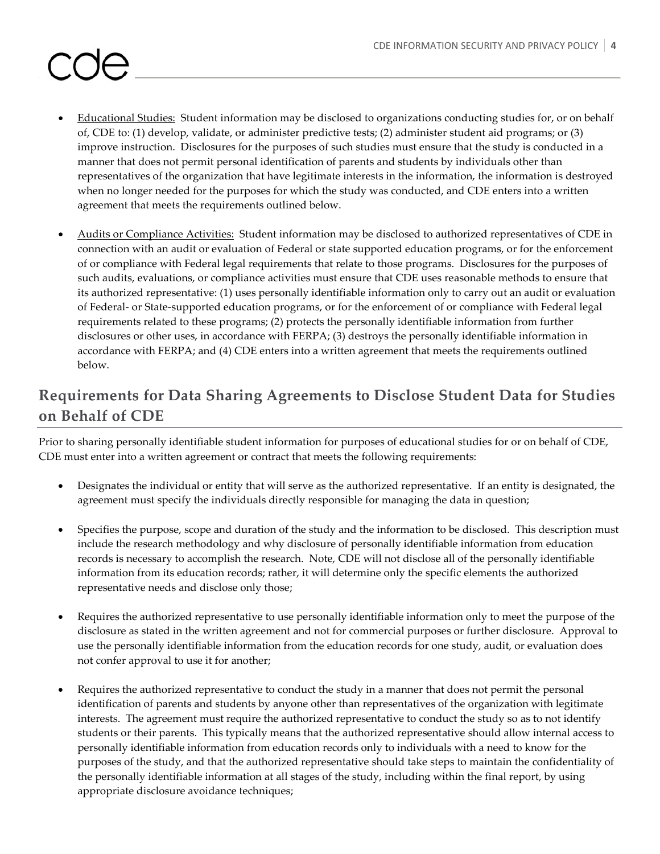#### Educational Studies: Student information may be disclosed to organizations conducting studies for, or on behalf of, CDE to: (1) develop, validate, or administer predictive tests; (2) administer student aid programs; or (3) improve instruction. Disclosures for the purposes of such studies must ensure that the study is conducted in a manner that does not permit personal identification of parents and students by individuals other than representatives of the organization that have legitimate interests in the information, the information is destroyed when no longer needed for the purposes for which the study was conducted, and CDE enters into a written agreement that meets the requirements outlined below.

• Audits or Compliance Activities: Student information may be disclosed to authorized representatives of CDE in connection with an audit or evaluation of Federal or state supported education programs, or for the enforcement of or compliance with Federal legal requirements that relate to those programs. Disclosures for the purposes of such audits, evaluations, or compliance activities must ensure that CDE uses reasonable methods to ensure that its authorized representative: (1) uses personally identifiable information only to carry out an audit or evaluation of Federal- or State-supported education programs, or for the enforcement of or compliance with Federal legal requirements related to these programs; (2) protects the personally identifiable information from further disclosures or other uses, in accordance with FERPA; (3) destroys the personally identifiable information in accordance with FERPA; and (4) CDE enters into a written agreement that meets the requirements outlined below.

### **Requirements for Data Sharing Agreements to Disclose Student Data for Studies on Behalf of CDE**

Prior to sharing personally identifiable student information for purposes of educational studies for or on behalf of CDE, CDE must enter into a written agreement or contract that meets the following requirements:

- Designates the individual or entity that will serve as the authorized representative. If an entity is designated, the agreement must specify the individuals directly responsible for managing the data in question;
- Specifies the purpose, scope and duration of the study and the information to be disclosed. This description must include the research methodology and why disclosure of personally identifiable information from education records is necessary to accomplish the research. Note, CDE will not disclose all of the personally identifiable information from its education records; rather, it will determine only the specific elements the authorized representative needs and disclose only those;
- Requires the authorized representative to use personally identifiable information only to meet the purpose of the disclosure as stated in the written agreement and not for commercial purposes or further disclosure. Approval to use the personally identifiable information from the education records for one study, audit, or evaluation does not confer approval to use it for another;
- Requires the authorized representative to conduct the study in a manner that does not permit the personal identification of parents and students by anyone other than representatives of the organization with legitimate interests. The agreement must require the authorized representative to conduct the study so as to not identify students or their parents. This typically means that the authorized representative should allow internal access to personally identifiable information from education records only to individuals with a need to know for the purposes of the study, and that the authorized representative should take steps to maintain the confidentiality of the personally identifiable information at all stages of the study, including within the final report, by using appropriate disclosure avoidance techniques;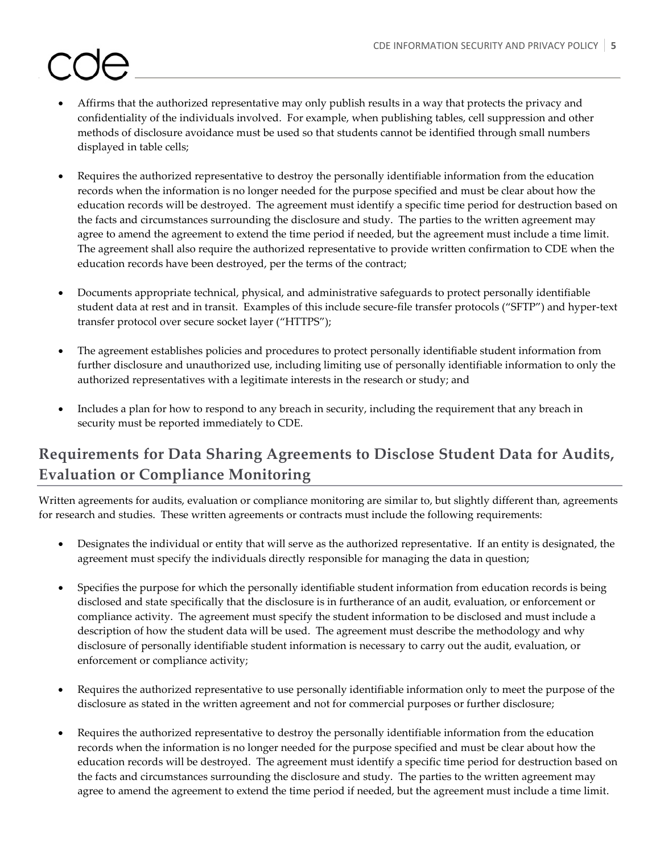- Affirms that the authorized representative may only publish results in a way that protects the privacy and confidentiality of the individuals involved. For example, when publishing tables, cell suppression and other methods of disclosure avoidance must be used so that students cannot be identified through small numbers displayed in table cells;
- Requires the authorized representative to destroy the personally identifiable information from the education records when the information is no longer needed for the purpose specified and must be clear about how the education records will be destroyed. The agreement must identify a specific time period for destruction based on the facts and circumstances surrounding the disclosure and study. The parties to the written agreement may agree to amend the agreement to extend the time period if needed, but the agreement must include a time limit. The agreement shall also require the authorized representative to provide written confirmation to CDE when the education records have been destroyed, per the terms of the contract;
- Documents appropriate technical, physical, and administrative safeguards to protect personally identifiable student data at rest and in transit. Examples of this include secure-file transfer protocols ("SFTP") and hyper-text transfer protocol over secure socket layer ("HTTPS");
- The agreement establishes policies and procedures to protect personally identifiable student information from further disclosure and unauthorized use, including limiting use of personally identifiable information to only the authorized representatives with a legitimate interests in the research or study; and
- Includes a plan for how to respond to any breach in security, including the requirement that any breach in security must be reported immediately to CDE.

### **Requirements for Data Sharing Agreements to Disclose Student Data for Audits, Evaluation or Compliance Monitoring**

Written agreements for audits, evaluation or compliance monitoring are similar to, but slightly different than, agreements for research and studies. These written agreements or contracts must include the following requirements:

- Designates the individual or entity that will serve as the authorized representative. If an entity is designated, the agreement must specify the individuals directly responsible for managing the data in question;
- Specifies the purpose for which the personally identifiable student information from education records is being disclosed and state specifically that the disclosure is in furtherance of an audit, evaluation, or enforcement or compliance activity. The agreement must specify the student information to be disclosed and must include a description of how the student data will be used. The agreement must describe the methodology and why disclosure of personally identifiable student information is necessary to carry out the audit, evaluation, or enforcement or compliance activity;
- Requires the authorized representative to use personally identifiable information only to meet the purpose of the disclosure as stated in the written agreement and not for commercial purposes or further disclosure;
- Requires the authorized representative to destroy the personally identifiable information from the education records when the information is no longer needed for the purpose specified and must be clear about how the education records will be destroyed. The agreement must identify a specific time period for destruction based on the facts and circumstances surrounding the disclosure and study. The parties to the written agreement may agree to amend the agreement to extend the time period if needed, but the agreement must include a time limit.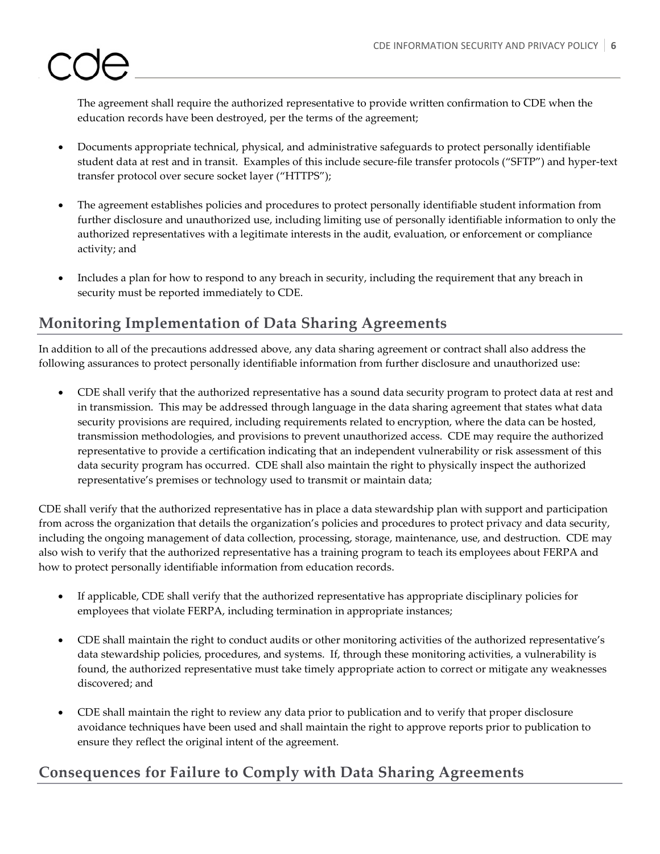The agreement shall require the authorized representative to provide written confirmation to CDE when the education records have been destroyed, per the terms of the agreement;

- Documents appropriate technical, physical, and administrative safeguards to protect personally identifiable student data at rest and in transit. Examples of this include secure-file transfer protocols ("SFTP") and hyper-text transfer protocol over secure socket layer ("HTTPS");
- The agreement establishes policies and procedures to protect personally identifiable student information from further disclosure and unauthorized use, including limiting use of personally identifiable information to only the authorized representatives with a legitimate interests in the audit, evaluation, or enforcement or compliance activity; and
- Includes a plan for how to respond to any breach in security, including the requirement that any breach in security must be reported immediately to CDE.

#### **Monitoring Implementation of Data Sharing Agreements**

In addition to all of the precautions addressed above, any data sharing agreement or contract shall also address the following assurances to protect personally identifiable information from further disclosure and unauthorized use:

• CDE shall verify that the authorized representative has a sound data security program to protect data at rest and in transmission. This may be addressed through language in the data sharing agreement that states what data security provisions are required, including requirements related to encryption, where the data can be hosted, transmission methodologies, and provisions to prevent unauthorized access. CDE may require the authorized representative to provide a certification indicating that an independent vulnerability or risk assessment of this data security program has occurred. CDE shall also maintain the right to physically inspect the authorized representative's premises or technology used to transmit or maintain data;

CDE shall verify that the authorized representative has in place a data stewardship plan with support and participation from across the organization that details the organization's policies and procedures to protect privacy and data security, including the ongoing management of data collection, processing, storage, maintenance, use, and destruction. CDE may also wish to verify that the authorized representative has a training program to teach its employees about FERPA and how to protect personally identifiable information from education records.

- If applicable, CDE shall verify that the authorized representative has appropriate disciplinary policies for employees that violate FERPA, including termination in appropriate instances;
- CDE shall maintain the right to conduct audits or other monitoring activities of the authorized representative's data stewardship policies, procedures, and systems. If, through these monitoring activities, a vulnerability is found, the authorized representative must take timely appropriate action to correct or mitigate any weaknesses discovered; and
- CDE shall maintain the right to review any data prior to publication and to verify that proper disclosure avoidance techniques have been used and shall maintain the right to approve reports prior to publication to ensure they reflect the original intent of the agreement.

#### **Consequences for Failure to Comply with Data Sharing Agreements**